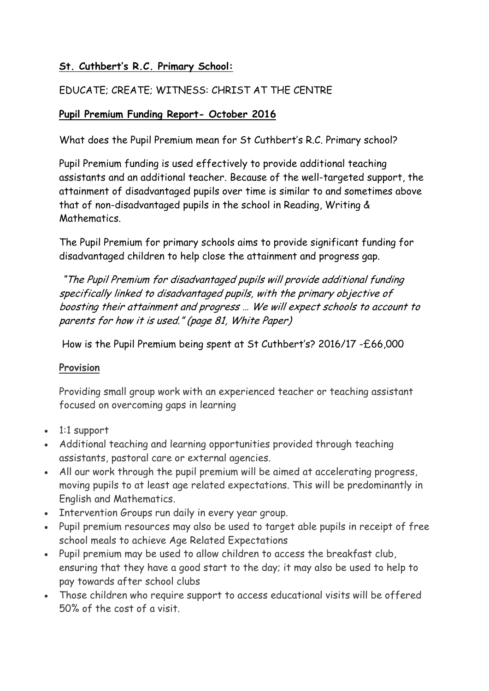# **St. Cuthbert's R.C. Primary School:**

# EDUCATE; CREATE; WITNESS: CHRIST AT THE CENTRE

### **Pupil Premium Funding Report- October 2016**

What does the Pupil Premium mean for St Cuthbert's R.C. Primary school?

Pupil Premium funding is used effectively to provide additional teaching assistants and an additional teacher. Because of the well-targeted support, the attainment of disadvantaged pupils over time is similar to and sometimes above that of non-disadvantaged pupils in the school in Reading, Writing & **Mathematics** 

The Pupil Premium for primary schools aims to provide significant funding for disadvantaged children to help close the attainment and progress gap.

"The Pupil Premium for disadvantaged pupils will provide additional funding specifically linked to disadvantaged pupils, with the primary objective of boosting their attainment and progress … We will expect schools to account to parents for how it is used." (page 81, White Paper)

How is the Pupil Premium being spent at St Cuthbert's? 2016/17 -£66,000

#### **Provision**

Providing small group work with an experienced teacher or teaching assistant focused on overcoming gaps in learning

- 1:1 support
- Additional teaching and learning opportunities provided through teaching assistants, pastoral care or external agencies.
- All our work through the pupil premium will be aimed at accelerating progress, moving pupils to at least age related expectations. This will be predominantly in English and Mathematics.
- Intervention Groups run daily in every year group.
- Pupil premium resources may also be used to target able pupils in receipt of free school meals to achieve Age Related Expectations
- Pupil premium may be used to allow children to access the breakfast club, ensuring that they have a good start to the day; it may also be used to help to pay towards after school clubs
- Those children who require support to access educational visits will be offered 50% of the cost of a visit.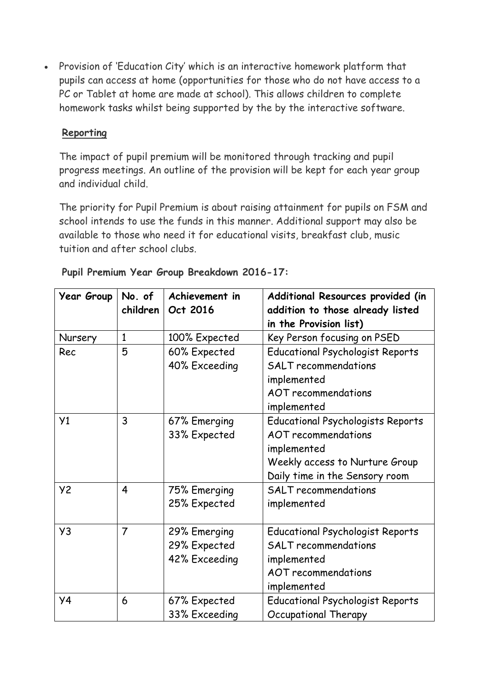Provision of 'Education City' which is an interactive homework platform that pupils can access at home (opportunities for those who do not have access to a PC or Tablet at home are made at school). This allows children to complete homework tasks whilst being supported by the by the interactive software.

#### **Reporting**

The impact of pupil premium will be monitored through tracking and pupil progress meetings. An outline of the provision will be kept for each year group and individual child.

The priority for Pupil Premium is about raising attainment for pupils on FSM and school intends to use the funds in this manner. Additional support may also be available to those who need it for educational visits, breakfast club, music tuition and after school clubs.

| <b>Year Group</b> | No. of         | Achievement in | Additional Resources provided (in        |  |
|-------------------|----------------|----------------|------------------------------------------|--|
|                   | children       | Oct 2016       | addition to those already listed         |  |
|                   |                |                | in the Provision list)                   |  |
| Nursery           | $\mathbf{1}$   | 100% Expected  | Key Person focusing on PSED              |  |
| Rec               | 5              | 60% Expected   | <b>Educational Psychologist Reports</b>  |  |
|                   |                | 40% Exceeding  | <b>SALT</b> recommendations              |  |
|                   |                |                | implemented                              |  |
|                   |                |                | <b>AOT</b> recommendations               |  |
|                   |                |                | implemented                              |  |
| Y1                | 3              | 67% Emerging   | <b>Educational Psychologists Reports</b> |  |
|                   |                | 33% Expected   | <b>AOT</b> recommendations               |  |
|                   |                |                | implemented                              |  |
|                   |                |                | Weekly access to Nurture Group           |  |
|                   |                |                | Daily time in the Sensory room           |  |
| <b>Y2</b>         | $\overline{4}$ | 75% Emerging   | <b>SALT</b> recommendations              |  |
|                   |                | 25% Expected   | implemented                              |  |
|                   |                |                |                                          |  |
| Y3                | $\overline{7}$ | 29% Emerging   | <b>Educational Psychologist Reports</b>  |  |
|                   |                | 29% Expected   | <b>SALT</b> recommendations              |  |
|                   |                | 42% Exceeding  | implemented                              |  |
|                   |                |                | <b>AOT</b> recommendations               |  |
|                   |                |                | implemented                              |  |
| Y4                | 6              | 67% Expected   | <b>Educational Psychologist Reports</b>  |  |
|                   |                | 33% Exceeding  | Occupational Therapy                     |  |

| Pupil Premium Year Group Breakdown 2016-17: |  |
|---------------------------------------------|--|
|---------------------------------------------|--|